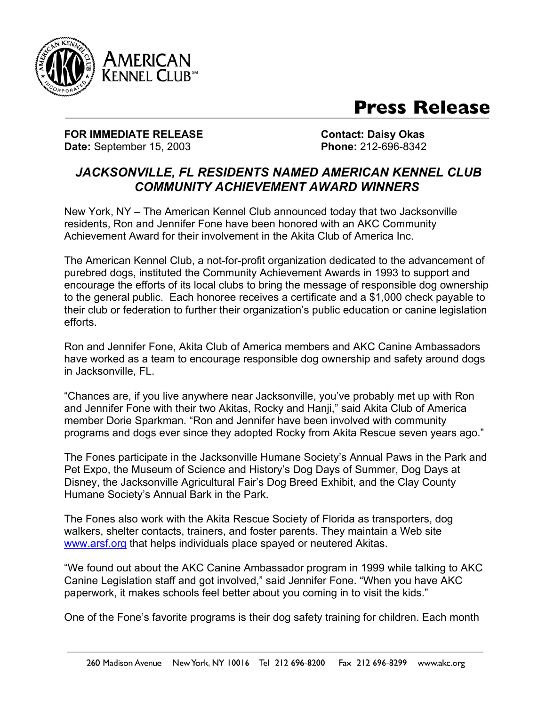

## **Press Release**

**FOR IMMEDIATE RELEASE CONTACT: Daisy Okas Date:** September 15, 2003 **Phone:** 212-696-8342

## *JACKSONVILLE, FL RESIDENTS NAMED AMERICAN KENNEL CLUB COMMUNITY ACHIEVEMENT AWARD WINNERS*

New York, NY – The American Kennel Club announced today that two Jacksonville residents, Ron and Jennifer Fone have been honored with an AKC Community Achievement Award for their involvement in the Akita Club of America Inc.

The American Kennel Club, a not-for-profit organization dedicated to the advancement of purebred dogs, instituted the Community Achievement Awards in 1993 to support and encourage the efforts of its local clubs to bring the message of responsible dog ownership to the general public. Each honoree receives a certificate and a \$1,000 check payable to their club or federation to further their organization's public education or canine legislation efforts.

Ron and Jennifer Fone, Akita Club of America members and AKC Canine Ambassadors have worked as a team to encourage responsible dog ownership and safety around dogs in Jacksonville, FL.

"Chances are, if you live anywhere near Jacksonville, you've probably met up with Ron and Jennifer Fone with their two Akitas, Rocky and Hanji," said Akita Club of America member Dorie Sparkman. "Ron and Jennifer have been involved with community programs and dogs ever since they adopted Rocky from Akita Rescue seven years ago."

The Fones participate in the Jacksonville Humane Society's Annual Paws in the Park and Pet Expo, the Museum of Science and History's Dog Days of Summer, Dog Days at Disney, the Jacksonville Agricultural Fair's Dog Breed Exhibit, and the Clay County Humane Society's Annual Bark in the Park.

The Fones also work with the Akita Rescue Society of Florida as transporters, dog walkers, shelter contacts, trainers, and foster parents. They maintain a Web site [www.arsf.org](http://www.arsf.org/) that helps individuals place spayed or neutered Akitas.

"We found out about the AKC Canine Ambassador program in 1999 while talking to AKC Canine Legislation staff and got involved," said Jennifer Fone. "When you have AKC paperwork, it makes schools feel better about you coming in to visit the kids."

One of the Fone's favorite programs is their dog safety training for children. Each month